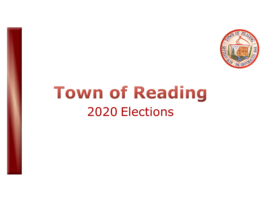

## Town of Reading<br>2020 Elections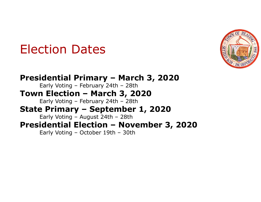#### Election Dates



Election Dates<br>Presidential Primary – March 3, 2020<br>Town Election – March 3, 2020<br>Town Election – March 3, 2020 Ction Dates<br>
idential Primary – March 3, 2020<br>
Early Voting – February 24th – 28th<br>
n Election – March 3, 2020<br>
Early Voting – February 24th – 28th Election Dates<br>Presidential Primary – March 3, 2020<br>Early Voting – February 24th – 28th<br>Town Election – March 3, 2020<br>Early Voting – February 24th – 28th<br>State Primary – September 1, 2020 Ction Dates<br>
idential Primary – March 3, 2020<br>
Early Voting – February 24th – 28th<br>
n Election – March 3, 2020<br>
Early Voting – February 24th – 28th<br>
Primary – September 1, 2020<br>
Early Voting – August 24th – 28th Election Dates<br>
Presidential Primary – March 3, 2020<br>
Early Voting – February 24th – 28th<br>
Town Election – March 3, 2020<br>
Early Voting – February 24th – 28th<br>
State Primary – September 1, 2020<br>
Early Voting – August 24th – Ction Dates<br>
idential Primary – March 3, 2020<br>
Early Voting – February 24th – 28th<br> **n Election – March 3, 2020<br>
Early Voting – February 24th – 28th<br>
a Primary – September 1, 2020<br>
Early Voting – August 24th – 28th<br>
identi** Election Dates<br>
Presidential Primary – March 3, 2020<br>
Early Voting – February 24th – 28th<br>
Town Election – March 3, 2020<br>
Early Voting – February 24th – 28th<br>
State Primary – September 1, 2020<br>
Early Voting – August 24th Ction Dates<br>
idential Primary – March 3, 2020<br>
Early Voting – February 24th – 28th<br>
n Election – March 3, 2020<br>
Early Voting – February 24th – 28th<br>
e Primary – September 1, 2020<br>
Early Voting – August 24th – 28th<br>
identia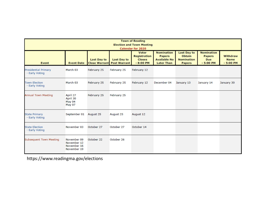|                                               |                                                          |                                            |                                           | <b>Town of Reading</b><br><b>Election and Town Meeting</b><br><b>Calendar for 2020</b> |                                                                                |                                                                           |                                                                |                                       |
|-----------------------------------------------|----------------------------------------------------------|--------------------------------------------|-------------------------------------------|----------------------------------------------------------------------------------------|--------------------------------------------------------------------------------|---------------------------------------------------------------------------|----------------------------------------------------------------|---------------------------------------|
| <b>Event</b>                                  | <b>Event Date</b>                                        | <b>Last Day to</b><br><b>Close Warrant</b> | <b>Last Day to</b><br><b>Post Warrant</b> | <b>Voter</b><br><b>Registration</b><br><b>Closes</b><br>$-8:00$ PM                     | <b>Nomination</b><br><b>Papers</b><br><b>Available No</b><br><b>Later Than</b> | <b>Last Day to</b><br><b>Obtain</b><br><b>Nomination</b><br><b>Papers</b> | <b>Nomination</b><br><b>Papers</b><br><b>Due</b><br>$-5:00$ PM | Withdraw<br><b>Name</b><br>$-5:00$ PM |
| <b>Presidential Primary</b><br>- Early Voting | March 03                                                 | February 25                                | February 25                               | February 12                                                                            |                                                                                |                                                                           |                                                                |                                       |
| <b>Town Election</b><br>- Early Voting        | March 03                                                 | February 25                                | February 25                               | February 12                                                                            | December 04                                                                    | January 13                                                                | January 14                                                     | January 30                            |
| <b>Annual Town Meeting</b>                    | April 27<br>April 30<br>May 04<br><b>May 07</b>          | February 25                                | February 25                               |                                                                                        |                                                                                |                                                                           |                                                                |                                       |
| <b>State Primary</b><br>- Early Voting        | September 01                                             | August 25                                  | August 25                                 | August 12                                                                              |                                                                                |                                                                           |                                                                |                                       |
| <b>State Election</b><br>- Early Voting       | November 03                                              | October 27                                 | October 27                                | October 14                                                                             |                                                                                |                                                                           |                                                                |                                       |
| <b>Subsequent Town Meeting</b>                | November 09<br>November 12<br>November 16<br>November 19 | October 22                                 | October 26                                |                                                                                        |                                                                                |                                                                           |                                                                |                                       |

https://www.readingma.gov/elections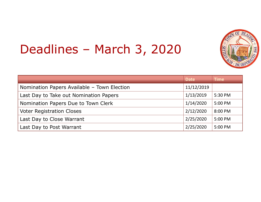# Deadlines – March 3, 2020



| Deadlines - March 3, 2020                   |             |             |
|---------------------------------------------|-------------|-------------|
|                                             | <b>Date</b> | <b>Time</b> |
| Nomination Papers Available - Town Election | 11/12/2019  |             |
| Last Day to Take out Nomination Papers      | 1/13/2019   | 5:30 PM     |
| Nomination Papers Due to Town Clerk         |             | 5:00 PM     |
| <b>Voter Registration Closes</b>            | 2/12/2020   | 8:00 PM     |
| Last Day to Close Warrant                   | 2/25/2020   | 5:00 PM     |
|                                             |             | 5:00 PM     |
| Last Day to Post Warrant                    | 2/25/2020   |             |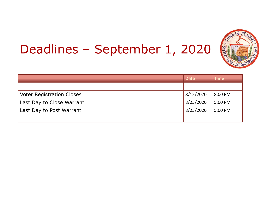# Deadlines – September 1, 2020



| Deadlines - September 1, 2020    |             |             |
|----------------------------------|-------------|-------------|
|                                  | <b>Date</b> | <b>Time</b> |
|                                  |             |             |
| <b>Voter Registration Closes</b> | 8/12/2020   | 8:00 PM     |
| Last Day to Close Warrant        | 8/25/2020   | 5:00 PM     |
| Last Day to Post Warrant         | 8/25/2020   | 5:00 PM     |
|                                  |             |             |
|                                  |             |             |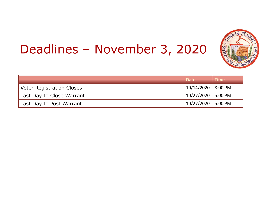# Deadlines – November 3, 2020



| Deadlines - November 3, 2020     |             |             |
|----------------------------------|-------------|-------------|
|                                  | <b>Date</b> | <b>Time</b> |
| <b>Voter Registration Closes</b> | 10/14/2020  | 8:00 PM     |
| Last Day to Close Warrant        | 10/27/2020  | 5:00 PM     |
| Last Day to Post Warrant         | 10/27/2020  | 5:00 PM     |
|                                  |             |             |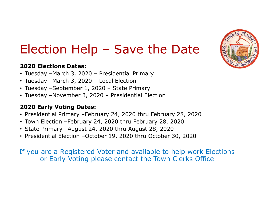

### Election Help – Save the Date Election Help – Save the Date<br>
Pazzo Elections Dates:<br>
• Tuesday –March 3, 2020 – Presidential Primary<br>
• Tuesday –March 3, 2020 – Local Election<br>• Tuesday –September 1, 2020 – State Primary Election Help – Save the Date<br>
Pazzo Elections Dates:<br>
• Tuesday –March 3, 2020 – Presidential Primary<br>
• Tuesday –March 3, 2020 – Local Election<br>
• Tuesday –September 1, 2020 – State Primary<br>• Tuesday –November 3, 2020 – **Election Help – Save the Date**<br> **Payable 1, 2020 Elections Dates:**<br>
• Tuesday –March 3, 2020 – Presidential Primary<br>
• Tuesday –March 3, 2020 – Local Election<br>
• Tuesday –September 1, 2020 – State Primary<br>
• Tuesday –Nov **Election Help – Save the Date**<br> **Election Bates:**<br>
• Tuesday – March 3, 2020 – Presidential Primary<br>
• Tuesday – March 3, 2020 – Local Election<br>
• Tuesday – September 1, 2020 – State Primary<br>
• Tuesday – November 3, 2020

#### 2020 Elections Dates:

- 
- 
- 
- 

#### 2020 Early Voting Dates:

- Presidential Primary –February 24, 2020 thru February 28, 2020
- Town Election –February 24, 2020 thru February 28, 2020
- State Primary –August 24, 2020 thru August 28, 2020
- Presidential Election –October 19, 2020 thru October 30, 2020

If you are a Registered Voter and available to help work Elections or Early Voting please contact the Town Clerks Office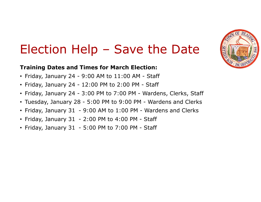

### Election Help – Save the Date Election Help - Save the Date<br>
Fraining Dates and Times for March Election:<br>
• Friday, January 24 - 9:00 AM to 11:00 AM - Staff<br>
• Friday, January 24 - 12:00 PM to 2:00 PM - Staff<br>
• Friday, January 24 - 3:00 PM to 2:00 P Election Help - Save the Date<br>
Fraining Dates and Times for March Election:<br>
• Friday, January 24 - 9:00 AM to 11:00 AM - Staff<br>
• Friday, January 24 - 12:00 PM to 2:00 PM - Staff<br>
• Friday, January 24 - 3:00 PM to 7:00 P **Election Help - Save the Date**<br> **Fraining Dates and Times for March Election:**<br>
• Friday, January 24 - 9:00 AM to 11:00 AM - Staff<br>
• Friday, January 24 - 12:00 PM to 2:00 PM - Wardens, Clerks, Staff<br>
• Tuesday, January **Election Help - Save the Date**<br> **Fraining Dates and Times for March Election:**<br>
• Friday, January 24 - 9:00 AM to 11:00 AM - Staff<br>
• Friday, January 24 - 12:00 PM to 2:00 PM - Staff<br>
• Triday, January 24 - 3:00 PM to 9: **Election Help - Save the Date**<br> **Fraining Dates and Times for March Election:**<br>
• Friday, January 24 - 9:00 AM to 11:00 AM - Staff<br>
• Friday, January 24 - 12:00 PM to 2:00 PM - Wardens, Clerks, Staff<br>
• Tuesday, January **Election Help - Save the Date**<br> **Fraining Dates and Times for March Election:**<br>
• Friday, January 24 - 9:00 AM to 11:00 AM - Staff<br>
• Friday, January 24 - 12:00 PM to 2:00 PM - Wardens, Clerks, Staff<br>
• Tuesday, January **Election Help - Save the Date**<br> **Fraining Dates and Times for March Election:**<br>
• Friday, January 24 - 9:00 AM to 11:00 AM - Staff<br>
• Friday, January 24 - 12:00 PM to 2:00 PM - Wardens, Clerks, Staff<br>
• Triday, January 2

#### Training Dates and Times for March Election:

- 
- 
- 
- 
- 
- 
-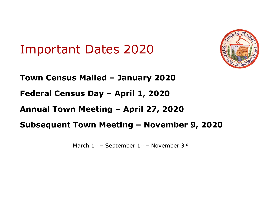#### Important Dates 2020



Important Dates 2020<br>Town Census Mailed – January 2020<br>Federal Census Day – April 1, 2020 Important Dates 2020<br>Town Census Mailed – January 2020<br>Federal Census Day – April 1, 2020<br>Annual Town Meeting – April 27, 2020 Amportant Dates 2020<br>
Town Census Mailed – January 2020<br>
Federal Census Day – April 1, 2020<br>
Annual Town Meeting – April 27, 2020<br>
Subsequent Town Meeting – November 9, 2020 Important Dates 2020<br>
Town Census Mailed – January 2020<br>
Federal Census Day – April 1, 2020<br>
Annual Town Meeting – April 27, 2020<br>
Subsequent Town Meeting – November 9, 2020<br>
March 1st – September 1st – November 9, 2020 S Mailed – January 2020<br>Sus Day – April 1, 2020<br>1 Meeting – April 27, 2020<br>Town Meeting – November 9, 2020<br>March 1st – September 1st – November 3rd